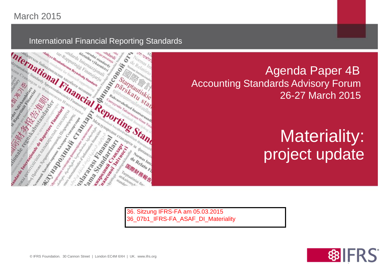### March 2015

#### International Financial Reporting Standards



Accounting Standards Advisory Forum 26-27 March 2015 Agenda Paper 4B

> Materiality: project update

36. Sitzung IFRS-FA am 05.03.2015 36\_07b1\_IFRS-FA\_ASAF\_DI\_Materiality

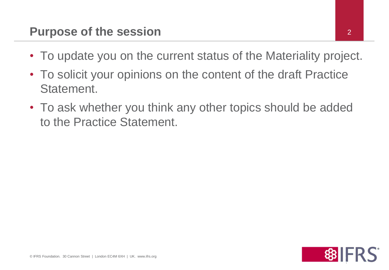- To update you on the current status of the Materiality project.
- To solicit your opinions on the content of the draft Practice Statement.
- To ask whether you think any other topics should be added to the Practice Statement.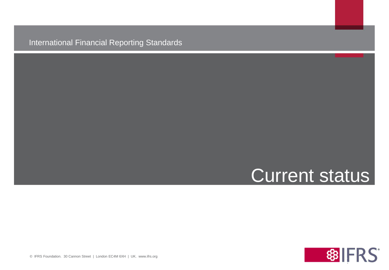#### International Financial Reporting Standards

## Current status

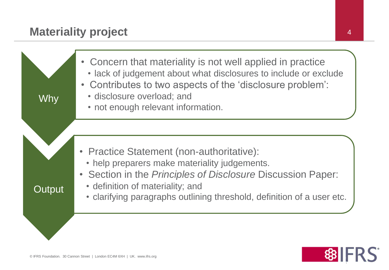### **Materiality project**



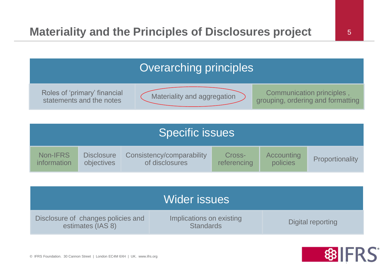![](_page_4_Figure_2.jpeg)

| <b>Specific issues</b> |                   |                           |             |            |                 |  |
|------------------------|-------------------|---------------------------|-------------|------------|-----------------|--|
| Non-IFRS               | <b>Disclosure</b> | Consistency/comparability | Cross-      | Accounting | Proportionality |  |
| information            | <b>objectives</b> | of disclosures            | referencing | policies   |                 |  |

|                                                         | Wider issues                                 |                   |
|---------------------------------------------------------|----------------------------------------------|-------------------|
| Disclosure of changes policies and<br>estimates (IAS 8) | Implications on existing<br><b>Standards</b> | Digital reporting |

![](_page_4_Picture_5.jpeg)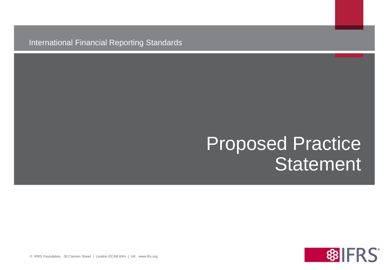International Financial Reporting Standards

# Proposed Practice **Statement**

![](_page_5_Picture_2.jpeg)

© IFRS Foundation. 30 Cannon Street | London EC4M 6XH | UK. www.ifrs.org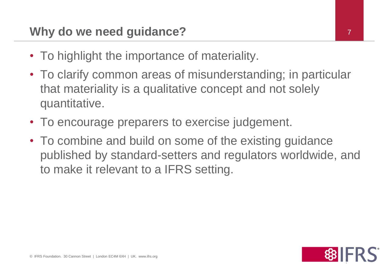- To highlight the importance of materiality.
- To clarify common areas of misunderstanding; in particular that materiality is a qualitative concept and not solely quantitative.
- To encourage preparers to exercise judgement.
- To combine and build on some of the existing guidance published by standard-setters and regulators worldwide, and to make it relevant to a IFRS setting.

7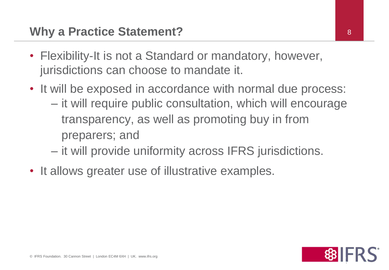- Flexibility-It is not a Standard or mandatory, however, jurisdictions can choose to mandate it.
- It will be exposed in accordance with normal due process: – it will require public consultation, which will encourage transparency, as well as promoting buy in from preparers; and
	- it will provide uniformity across IFRS jurisdictions.
- It allows greater use of illustrative examples.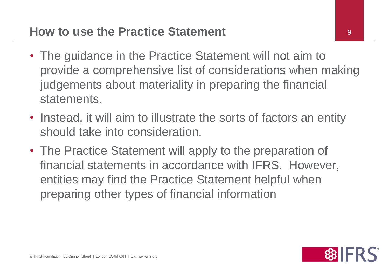- The guidance in the Practice Statement will not aim to provide a comprehensive list of considerations when making judgements about materiality in preparing the financial statements.
- Instead, it will aim to illustrate the sorts of factors an entity should take into consideration.
- The Practice Statement will apply to the preparation of financial statements in accordance with IFRS. However, entities may find the Practice Statement helpful when preparing other types of financial information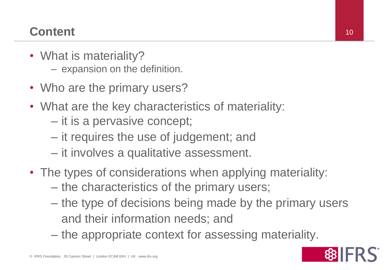## **Content**

- What is materiality?
	- expansion on the definition.
- Who are the primary users?
- What are the key characteristics of materiality:
	- it is a pervasive concept;
	- it requires the use of judgement; and
	- it involves a qualitative assessment.
- The types of considerations when applying materiality:
	- the characteristics of the primary users;
	- the type of decisions being made by the primary users and their information needs; and
	- the appropriate context for assessing materiality.

![](_page_9_Picture_12.jpeg)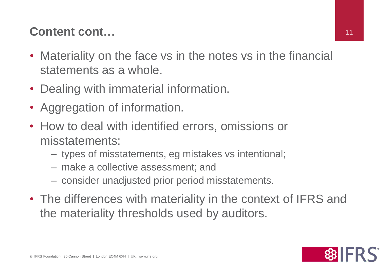## **Content cont…**

- Materiality on the face vs in the notes vs in the financial statements as a whole.
- Dealing with immaterial information.
- Aggregation of information.
- How to deal with identified errors, omissions or misstatements:
	- types of misstatements, eg mistakes vs intentional;
	- make a collective assessment; and
	- consider unadjusted prior period misstatements.
- The differences with materiality in the context of IFRS and the materiality thresholds used by auditors.

![](_page_10_Picture_9.jpeg)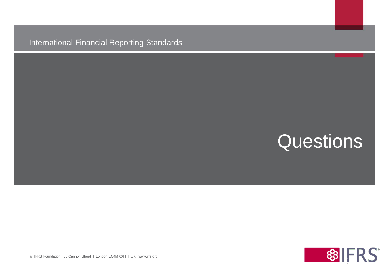### International Financial Reporting Standards

# **Questions**

![](_page_11_Picture_2.jpeg)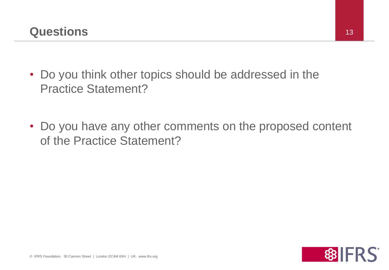- Do you think other topics should be addressed in the Practice Statement?
- Do you have any other comments on the proposed content of the Practice Statement?

**SBIFRS**